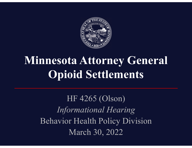

## **Minnesota Attorney General Opioid Settlements**

HF 4265 (Olson) *Informational Hearing* Behavior Health Policy Division March 30, 2022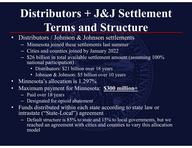## **Distributors + J&J Settlement Terms and Structure**

- •Distributors / Johnson & Johnson settlements
	- Minnesota joined these settlements last summer
	- Cities and counties joined by January 2022
	- \$26 billion in total available settlement amount (assuming 100% national participation)
		- Distributors: \$21 billion over 18 years
		- Johnson & Johnson: \$5 billion over 10 years
- •Minnesota's allocation is 1.297%
- • Maximum payment for Minnesota: **\$300 million+**
	- Paid over 18 years
	- Designated for opioid abatement
- • Funds distributed within each state according to state law or intrastate ("State-Local") agreement
	- $-$  Default structure is 85% to state and 15% to local governments, but we reached an agreement with cities and counties to vary this allocation model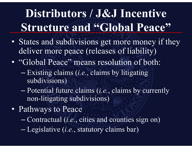# **Distributors / J&J Incentive Structure and "Global Peace"**

- States and subdivisions get more money if they deliver more peace (releases of liability)
- "Global Peace" means resolution of both:
	- – Existing claims (*i.e.*, claims by litigating subdivisions)
	- $\sim$  Potential future claims (*i.e.*, claims by currently non-litigating subdivisions)
- Pathways to Peace
	- –Contractual (*i.e.*, cities and counties sign on)
	- $\mathcal{L}_{\mathcal{A}}$ Legislative (*i.e.*, statutory claims bar)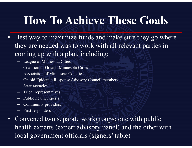### **How To Achieve These Goals**

- • Best way to maximize funds and make sure they go where they are needed was to work with all relevant parties in coming up with a plan, including:
	- League of Minnesota Cities
	- Coalition of Greater Minnesota Cities
	- Association of Minnesota Counties
	- Opioid Epidemic Response Advisory Council members
	- State agencies
	- Tribal representatives
	- Public health experts
	- Community providers
	- First responders
- • Convened two separate workgroups: one with public health experts (expert advisory panel) and the other with local government officials (signers' table)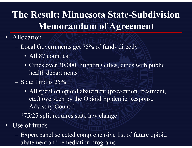### **The Result: Minnesota State-Subdivision Memorandum of Agreement**

- Allocation
	- Local Governments get 75% of funds directly
		- All 87 counties
		- Cities over 30,000, litigating cities, cities with public health departments
	- $-$  State fund is 25%
		- All spent on opioid abatement (prevention, treatment, etc.) overseen by the Opioid Epidemic Response Advisory Council
	- \*75/25 split requires state law change
- Use of funds
	- Expert panel selected comprehensive list of future opioid abatement and remediation pro grams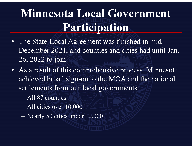## Minnesota Local Government **Participation**

- The State-Local Agreement was finished in mid-December 2021, and counties and cities had until Jan. 26, 2022 to join
- As a result of this comprehensive process, Minnesota achieved broad sign-on to the MOA and the national settlements from our local governments
	- All 87 counties
	- –All cities over 10,000
	- $\mathcal{L}_{\mathcal{A}}$ Nearly 50 cities under 10,000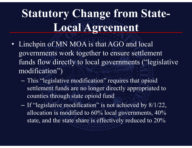## **Statutory Change from State-Local Agreement**

- Linchpin of MN MOA is that AGO and local governments work together to ensure settlement funds flow directly to local governments ("legislative modification")
	- – This "legislative modification" requires that opioid settlement funds are no longer directly appropriated to counties through state opioid fund
	- $\sim$ - If "legislative modification" is not achieved by 8/1/22, allocation is modified to 60% local governments, 40% state, and the state share is effectively reduced to 20%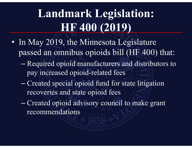# **Landmark Legislation: HF 400 (2019)**

- In May 2019, the Minnesota Legislature passed an omnibus opioids bill (HF 400) that:
	- $\mathcal{L}_{\mathcal{A}}$  Required opioid manufacturers and distributors to pay increased opioid-related fees
	- Created special opioid fund for state litigation recoveries and state opioid fees
	- – Created opioid advisory council to make grant recommendations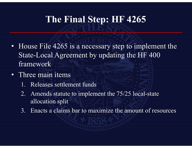#### **The Final Step: HF 4265**

- House File 4265 is a necessary step to implement the State-Local Agreement by updating the HF 400 framework
- Three main items
	- 1. Releases settlement funds
	- 2. Amends statute to implement the 75/25 local-state allocation split
	- 3. Enacts a claims bar to maximize the amount of resources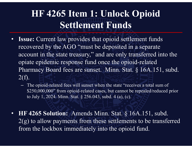#### **HF 4265 Item 1: Unlock Opioid Settlement Funds**

- •**Issue:** Current law provides that opioid settlement funds recovered by the AGO "must be deposited in a separate account in the state treasury," and are only transferred into the opiate epidemic response fund once the opioid-related Pharmacy Board fees are sunset. Minn. Stat. § 16A.151, subd. 2(f).
	- The opioid-related fees will sunset when the state "receives a total sum of \$250,000,000" from opioid-related cases, but cannot be repealed/reduced prior to July 1, 2024. Minn. Stat. § 256.043, subd. 4 (a), (c).
- **HF 4265 Solution:** Amends Minn. Stat. § 16A.151, subd. 2(g) to allow payments from these settlements to be transferred from the lockbox immediately into the opioid fund.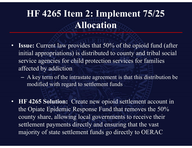#### **HF 4265 Item 2: Implement 75/25 Allocation**

- •**Issue:** Current law provides that 50% of the opioid fund (after initial appropriations) is distributed to county and tribal social service agencies for child protection services for families affected by addiction
	- **Line Communication**  A key term of the intrastate agreement is that this distribution be modified with regard to settlement funds
- **HF 4265 Solution:** Create new opioid settlement account in the Opiate Epidemic Response Fund that removes the 50% county share, allowing local governments to receive their settlement payments directly and ensuring that the vast majority of state settlement funds go directly to OERAC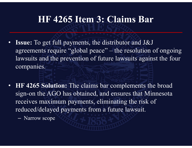#### **HF 4265 Item 3: Claims Bar**

- $\bullet$  **Issue:** To get full payments, the distributor and J&J agreements require "global peace" – the resolution of ongoing lawsuits and the prevention of future lawsuits against the four companies.
- **HF 4265 Solution:** The claims bar complements the broad sign-on the AGO has obtained, and ensures that Minnesota receives maximum payments, eliminating the risk of reduced/delayed payments from a future lawsuit.
	- $\mathcal{L}_{\mathcal{A}}$  , where  $\mathcal{L}_{\mathcal{A}}$  is the set of the set of the set of the set of the set of the set of the set of the set of the set of the set of the set of the set of the set of the set of the set of the set of the Narrow scope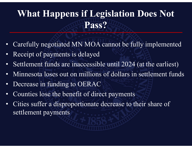### **What Happens if Legislation Does Not Pass?**

- •Carefully negotiated MN MOA cannot be fully implemented
- •Receipt of payments is delayed
- •Settlement funds are inaccessible until 2024 (at the earliest)
- •• Minnesota loses out on millions of dollars in settlement funds
- •Decrease in funding to OERAC
- •Counties lose the benefit of direct payments
- • Cities suffer a disproportionate decrease to their share of settlement payments